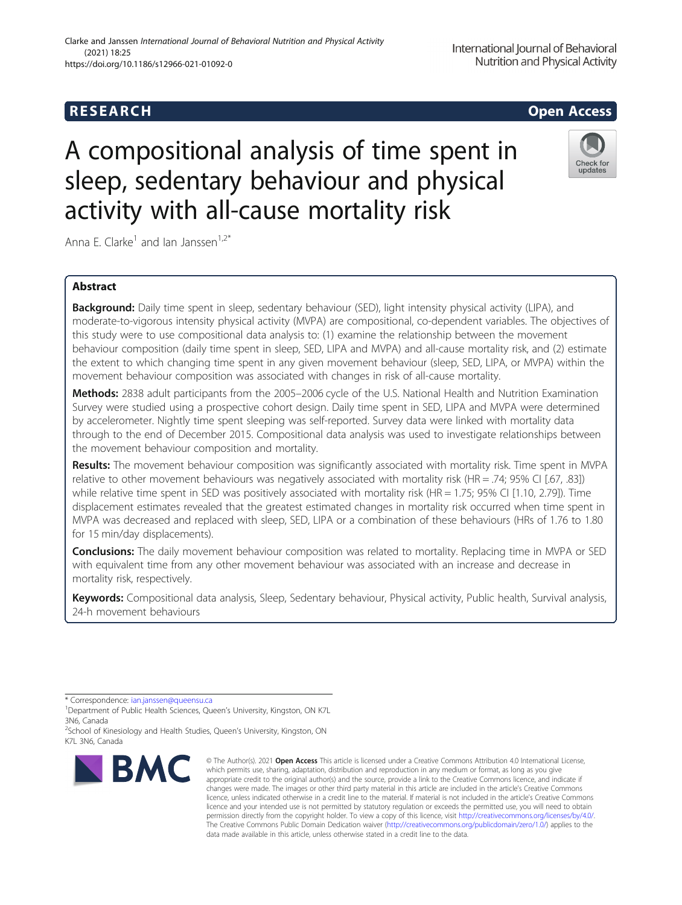# **RESEARCH CHILD CONTROL** CONTROL CONTROL CONTROL CONTROL CONTROL CONTROL CONTROL CONTROL CONTROL CONTROL CONTROL CONTROL CONTROL CONTROL CONTROL CONTROL CONTROL CONTROL CONTROL CONTROL CONTROL CONTROL CONTROL CONTROL CONTR

# A compositional analysis of time spent in sleep, sedentary behaviour and physical activity with all-cause mortality risk

Anna E. Clarke<sup>1</sup> and Ian Janssen<sup>1,2\*</sup>

# Abstract

Background: Daily time spent in sleep, sedentary behaviour (SED), light intensity physical activity (LIPA), and moderate-to-vigorous intensity physical activity (MVPA) are compositional, co-dependent variables. The objectives of this study were to use compositional data analysis to: (1) examine the relationship between the movement behaviour composition (daily time spent in sleep, SED, LIPA and MVPA) and all-cause mortality risk, and (2) estimate the extent to which changing time spent in any given movement behaviour (sleep, SED, LIPA, or MVPA) within the movement behaviour composition was associated with changes in risk of all-cause mortality.

Methods: 2838 adult participants from the 2005–2006 cycle of the U.S. National Health and Nutrition Examination Survey were studied using a prospective cohort design. Daily time spent in SED, LIPA and MVPA were determined by accelerometer. Nightly time spent sleeping was self-reported. Survey data were linked with mortality data through to the end of December 2015. Compositional data analysis was used to investigate relationships between the movement behaviour composition and mortality.

Results: The movement behaviour composition was significantly associated with mortality risk. Time spent in MVPA relative to other movement behaviours was negatively associated with mortality risk (HR = .74; 95% CI [.67, .83]) while relative time spent in SED was positively associated with mortality risk (HR = 1.75; 95% CI [1.10, 2.79]). Time displacement estimates revealed that the greatest estimated changes in mortality risk occurred when time spent in MVPA was decreased and replaced with sleep, SED, LIPA or a combination of these behaviours (HRs of 1.76 to 1.80 for 15 min/day displacements).

**Conclusions:** The daily movement behaviour composition was related to mortality. Replacing time in MVPA or SED with equivalent time from any other movement behaviour was associated with an increase and decrease in mortality risk, respectively.

Keywords: Compositional data analysis, Sleep, Sedentary behaviour, Physical activity, Public health, Survival analysis, 24-h movement behaviours

**BMC** 

<sup>&</sup>lt;sup>2</sup>School of Kinesiology and Health Studies, Queen's University, Kingston, ON K7L 3N6, Canada







updates

<sup>\*</sup> Correspondence: [ian.janssen@queensu.ca](mailto:ian.janssen@queensu.ca) <sup>1</sup>

<sup>&</sup>lt;sup>1</sup>Department of Public Health Sciences, Queen's University, Kingston, ON K7L 3N6, Canada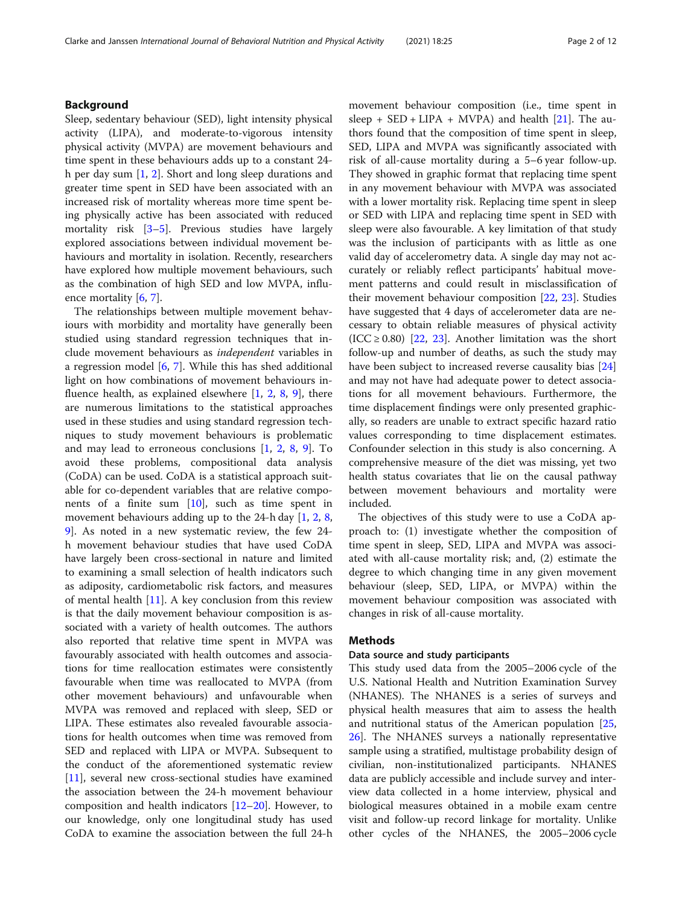# Background

Sleep, sedentary behaviour (SED), light intensity physical activity (LIPA), and moderate-to-vigorous intensity physical activity (MVPA) are movement behaviours and time spent in these behaviours adds up to a constant 24 h per day sum [\[1](#page-10-0), [2](#page-10-0)]. Short and long sleep durations and greater time spent in SED have been associated with an increased risk of mortality whereas more time spent being physically active has been associated with reduced mortality risk [\[3](#page-10-0)–[5](#page-10-0)]. Previous studies have largely explored associations between individual movement behaviours and mortality in isolation. Recently, researchers have explored how multiple movement behaviours, such as the combination of high SED and low MVPA, influence mortality [[6](#page-10-0), [7](#page-10-0)].

The relationships between multiple movement behaviours with morbidity and mortality have generally been studied using standard regression techniques that include movement behaviours as independent variables in a regression model  $[6, 7]$  $[6, 7]$  $[6, 7]$  $[6, 7]$ . While this has shed additional light on how combinations of movement behaviours influence health, as explained elsewhere  $[1, 2, 8, 9]$  $[1, 2, 8, 9]$  $[1, 2, 8, 9]$  $[1, 2, 8, 9]$  $[1, 2, 8, 9]$  $[1, 2, 8, 9]$  $[1, 2, 8, 9]$  $[1, 2, 8, 9]$  $[1, 2, 8, 9]$ , there are numerous limitations to the statistical approaches used in these studies and using standard regression techniques to study movement behaviours is problematic and may lead to erroneous conclusions [[1,](#page-10-0) [2,](#page-10-0) [8](#page-10-0), [9](#page-10-0)]. To avoid these problems, compositional data analysis (CoDA) can be used. CoDA is a statistical approach suitable for co-dependent variables that are relative components of a finite sum [\[10](#page-10-0)], such as time spent in movement behaviours adding up to the 24-h day [\[1](#page-10-0), [2](#page-10-0), [8](#page-10-0), [9\]](#page-10-0). As noted in a new systematic review, the few 24 h movement behaviour studies that have used CoDA have largely been cross-sectional in nature and limited to examining a small selection of health indicators such as adiposity, cardiometabolic risk factors, and measures of mental health  $[11]$  $[11]$  $[11]$ . A key conclusion from this review is that the daily movement behaviour composition is associated with a variety of health outcomes. The authors also reported that relative time spent in MVPA was favourably associated with health outcomes and associations for time reallocation estimates were consistently favourable when time was reallocated to MVPA (from other movement behaviours) and unfavourable when MVPA was removed and replaced with sleep, SED or LIPA. These estimates also revealed favourable associations for health outcomes when time was removed from SED and replaced with LIPA or MVPA. Subsequent to the conduct of the aforementioned systematic review [[11\]](#page-10-0), several new cross-sectional studies have examined the association between the 24-h movement behaviour composition and health indicators [\[12](#page-10-0)–[20](#page-10-0)]. However, to our knowledge, only one longitudinal study has used CoDA to examine the association between the full 24-h movement behaviour composition (i.e., time spent in sleep +  $SED + LIPA + MVPA$  and health [\[21](#page-10-0)]. The authors found that the composition of time spent in sleep, SED, LIPA and MVPA was significantly associated with risk of all-cause mortality during a 5–6 year follow-up. They showed in graphic format that replacing time spent in any movement behaviour with MVPA was associated with a lower mortality risk. Replacing time spent in sleep or SED with LIPA and replacing time spent in SED with sleep were also favourable. A key limitation of that study was the inclusion of participants with as little as one valid day of accelerometry data. A single day may not accurately or reliably reflect participants' habitual movement patterns and could result in misclassification of their movement behaviour composition [\[22,](#page-10-0) [23](#page-10-0)]. Studies have suggested that 4 days of accelerometer data are necessary to obtain reliable measures of physical activity (ICC  $\geq$  0.80) [[22](#page-10-0), [23\]](#page-10-0). Another limitation was the short follow-up and number of deaths, as such the study may have been subject to increased reverse causality bias [[24](#page-10-0)] and may not have had adequate power to detect associations for all movement behaviours. Furthermore, the time displacement findings were only presented graphically, so readers are unable to extract specific hazard ratio values corresponding to time displacement estimates. Confounder selection in this study is also concerning. A comprehensive measure of the diet was missing, yet two health status covariates that lie on the causal pathway between movement behaviours and mortality were included.

The objectives of this study were to use a CoDA approach to: (1) investigate whether the composition of time spent in sleep, SED, LIPA and MVPA was associated with all-cause mortality risk; and, (2) estimate the degree to which changing time in any given movement behaviour (sleep, SED, LIPA, or MVPA) within the movement behaviour composition was associated with changes in risk of all-cause mortality.

# Methods

# Data source and study participants

This study used data from the 2005–2006 cycle of the U.S. National Health and Nutrition Examination Survey (NHANES). The NHANES is a series of surveys and physical health measures that aim to assess the health and nutritional status of the American population [[25](#page-10-0), [26\]](#page-10-0). The NHANES surveys a nationally representative sample using a stratified, multistage probability design of civilian, non-institutionalized participants. NHANES data are publicly accessible and include survey and interview data collected in a home interview, physical and biological measures obtained in a mobile exam centre visit and follow-up record linkage for mortality. Unlike other cycles of the NHANES, the 2005–2006 cycle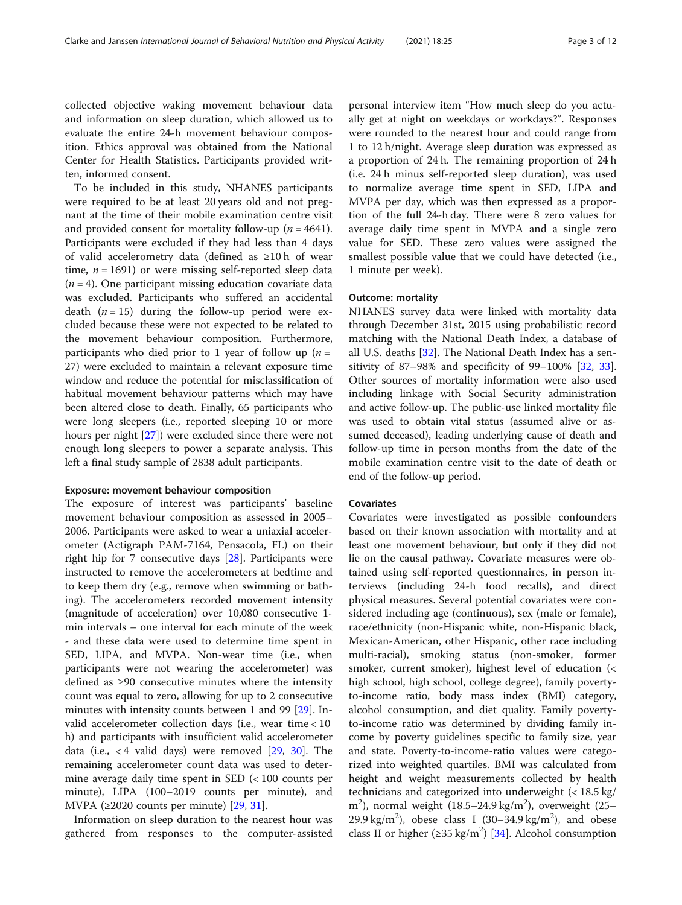collected objective waking movement behaviour data and information on sleep duration, which allowed us to evaluate the entire 24-h movement behaviour composition. Ethics approval was obtained from the National Center for Health Statistics. Participants provided written, informed consent.

To be included in this study, NHANES participants were required to be at least 20 years old and not pregnant at the time of their mobile examination centre visit and provided consent for mortality follow-up ( $n = 4641$ ). Participants were excluded if they had less than 4 days of valid accelerometry data (defined as ≥10 h of wear time,  $n = 1691$ ) or were missing self-reported sleep data  $(n = 4)$ . One participant missing education covariate data was excluded. Participants who suffered an accidental death  $(n = 15)$  during the follow-up period were excluded because these were not expected to be related to the movement behaviour composition. Furthermore, participants who died prior to 1 year of follow up  $(n =$ 27) were excluded to maintain a relevant exposure time window and reduce the potential for misclassification of habitual movement behaviour patterns which may have been altered close to death. Finally, 65 participants who were long sleepers (i.e., reported sleeping 10 or more hours per night [\[27](#page-10-0)]) were excluded since there were not enough long sleepers to power a separate analysis. This left a final study sample of 2838 adult participants.

# Exposure: movement behaviour composition

The exposure of interest was participants' baseline movement behaviour composition as assessed in 2005– 2006. Participants were asked to wear a uniaxial accelerometer (Actigraph PAM-7164, Pensacola, FL) on their right hip for 7 consecutive days [\[28](#page-10-0)]. Participants were instructed to remove the accelerometers at bedtime and to keep them dry (e.g., remove when swimming or bathing). The accelerometers recorded movement intensity (magnitude of acceleration) over 10,080 consecutive 1 min intervals – one interval for each minute of the week - and these data were used to determine time spent in SED, LIPA, and MVPA. Non-wear time (i.e., when participants were not wearing the accelerometer) was defined as ≥90 consecutive minutes where the intensity count was equal to zero, allowing for up to 2 consecutive minutes with intensity counts between 1 and 99 [\[29\]](#page-10-0). Invalid accelerometer collection days (i.e., wear time < 10 h) and participants with insufficient valid accelerometer data (i.e.,  $\lt 4$  valid days) were removed [[29,](#page-10-0) [30\]](#page-10-0). The remaining accelerometer count data was used to determine average daily time spent in SED (< 100 counts per minute), LIPA (100–2019 counts per minute), and MVPA ( $\geq$ 2020 counts per minute) [[29,](#page-10-0) [31\]](#page-10-0).

Information on sleep duration to the nearest hour was gathered from responses to the computer-assisted personal interview item "How much sleep do you actually get at night on weekdays or workdays?". Responses were rounded to the nearest hour and could range from 1 to 12 h/night. Average sleep duration was expressed as a proportion of 24 h. The remaining proportion of 24 h (i.e. 24 h minus self-reported sleep duration), was used to normalize average time spent in SED, LIPA and MVPA per day, which was then expressed as a proportion of the full 24-h day. There were 8 zero values for average daily time spent in MVPA and a single zero value for SED. These zero values were assigned the smallest possible value that we could have detected (i.e., 1 minute per week).

# Outcome: mortality

NHANES survey data were linked with mortality data through December 31st, 2015 using probabilistic record matching with the National Death Index, a database of all U.S. deaths [[32\]](#page-11-0). The National Death Index has a sensitivity of 87–98% and specificity of 99–100%  $[32, 33]$  $[32, 33]$  $[32, 33]$  $[32, 33]$  $[32, 33]$ . Other sources of mortality information were also used including linkage with Social Security administration and active follow-up. The public-use linked mortality file was used to obtain vital status (assumed alive or assumed deceased), leading underlying cause of death and follow-up time in person months from the date of the mobile examination centre visit to the date of death or end of the follow-up period.

# Covariates

Covariates were investigated as possible confounders based on their known association with mortality and at least one movement behaviour, but only if they did not lie on the causal pathway. Covariate measures were obtained using self-reported questionnaires, in person interviews (including 24-h food recalls), and direct physical measures. Several potential covariates were considered including age (continuous), sex (male or female), race/ethnicity (non-Hispanic white, non-Hispanic black, Mexican-American, other Hispanic, other race including multi-racial), smoking status (non-smoker, former smoker, current smoker), highest level of education (< high school, high school, college degree), family povertyto-income ratio, body mass index (BMI) category, alcohol consumption, and diet quality. Family povertyto-income ratio was determined by dividing family income by poverty guidelines specific to family size, year and state. Poverty-to-income-ratio values were categorized into weighted quartiles. BMI was calculated from height and weight measurements collected by health technicians and categorized into underweight (< 18.5 kg/ m<sup>2</sup>), normal weight  $(18.5-24.9 \text{ kg/m}^2)$ , overweight  $(25-$ 29.9 kg/m<sup>2</sup>), obese class I (30-34.9 kg/m<sup>2</sup>), and obese class II or higher  $(\geq 35 \text{ kg/m}^2)$  [[34\]](#page-11-0). Alcohol consumption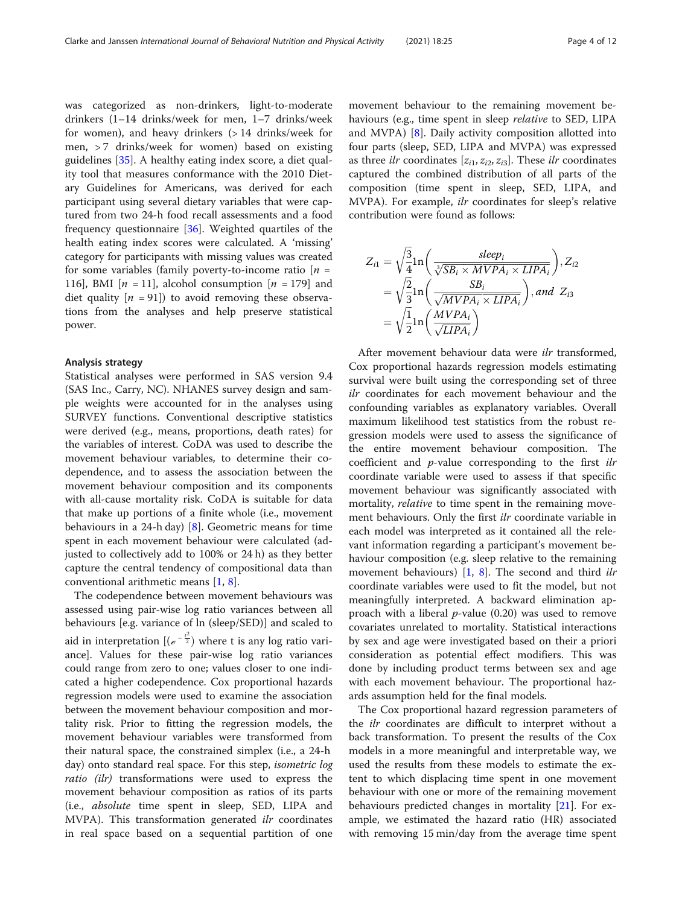was categorized as non-drinkers, light-to-moderate drinkers (1–14 drinks/week for men, 1–7 drinks/week for women), and heavy drinkers (> 14 drinks/week for men,  $> 7$  drinks/week for women) based on existing guidelines [[35\]](#page-11-0). A healthy eating index score, a diet quality tool that measures conformance with the 2010 Dietary Guidelines for Americans, was derived for each participant using several dietary variables that were captured from two 24-h food recall assessments and a food frequency questionnaire [[36](#page-11-0)]. Weighted quartiles of the health eating index scores were calculated. A 'missing' category for participants with missing values was created for some variables (family poverty-to-income ratio  $[n =$ 116], BMI  $[n = 11]$ , alcohol consumption  $[n = 179]$  and diet quality  $[n = 91]$  to avoid removing these observations from the analyses and help preserve statistical power.

# Analysis strategy

Statistical analyses were performed in SAS version 9.4 (SAS Inc., Carry, NC). NHANES survey design and sample weights were accounted for in the analyses using SURVEY functions. Conventional descriptive statistics were derived (e.g., means, proportions, death rates) for the variables of interest. CoDA was used to describe the movement behaviour variables, to determine their codependence, and to assess the association between the movement behaviour composition and its components with all-cause mortality risk. CoDA is suitable for data that make up portions of a finite whole (i.e., movement behaviours in a 24-h day) [[8\]](#page-10-0). Geometric means for time spent in each movement behaviour were calculated (adjusted to collectively add to 100% or 24 h) as they better capture the central tendency of compositional data than conventional arithmetic means [\[1](#page-10-0), [8](#page-10-0)].

The codependence between movement behaviours was assessed using pair-wise log ratio variances between all behaviours [e.g. variance of ln (sleep/SED)] and scaled to aid in interpretation  $[(e^{-\frac{t^2}{2}})$  where t is any log ratio variance]. Values for these pair-wise log ratio variances could range from zero to one; values closer to one indicated a higher codependence. Cox proportional hazards regression models were used to examine the association between the movement behaviour composition and mortality risk. Prior to fitting the regression models, the movement behaviour variables were transformed from their natural space, the constrained simplex (i.e., a 24-h day) onto standard real space. For this step, *isometric log* ratio (ilr) transformations were used to express the movement behaviour composition as ratios of its parts (i.e., absolute time spent in sleep, SED, LIPA and MVPA). This transformation generated *ilr* coordinates in real space based on a sequential partition of one

movement behaviour to the remaining movement behaviours (e.g., time spent in sleep relative to SED, LIPA and MVPA) [[8\]](#page-10-0). Daily activity composition allotted into four parts (sleep, SED, LIPA and MVPA) was expressed as three *ilr* coordinates  $[z_{i1}, z_{i2}, z_{i3}]$ . These *ilr* coordinates captured the combined distribution of all parts of the composition (time spent in sleep, SED, LIPA, and MVPA). For example, ilr coordinates for sleep's relative contribution were found as follows:

$$
Z_{i1} = \sqrt{\frac{3}{4}} \ln\left(\frac{sleep_i}{\sqrt[3]{SB_i \times MVPA_i \times LIPA_i}}\right), Z_{i2}
$$
  
=  $\sqrt{\frac{2}{3}} \ln\left(\frac{SB_i}{\sqrt{MVPA_i \times LIPA_i}}\right), and Z_{i3}$   
=  $\sqrt{\frac{1}{2}} \ln\left(\frac{MVPA_i}{\sqrt{LIPA_i}}\right)$ 

After movement behaviour data were ilr transformed, Cox proportional hazards regression models estimating survival were built using the corresponding set of three ilr coordinates for each movement behaviour and the confounding variables as explanatory variables. Overall maximum likelihood test statistics from the robust regression models were used to assess the significance of the entire movement behaviour composition. The coefficient and p-value corresponding to the first ilr coordinate variable were used to assess if that specific movement behaviour was significantly associated with mortality, *relative* to time spent in the remaining movement behaviours. Only the first *ilr* coordinate variable in each model was interpreted as it contained all the relevant information regarding a participant's movement behaviour composition (e.g. sleep relative to the remaining movement behaviours) [\[1,](#page-10-0) [8](#page-10-0)]. The second and third *ilr* coordinate variables were used to fit the model, but not meaningfully interpreted. A backward elimination approach with a liberal  $p$ -value (0.20) was used to remove covariates unrelated to mortality. Statistical interactions by sex and age were investigated based on their a priori consideration as potential effect modifiers. This was done by including product terms between sex and age with each movement behaviour. The proportional hazards assumption held for the final models.

The Cox proportional hazard regression parameters of the *ilr* coordinates are difficult to interpret without a back transformation. To present the results of the Cox models in a more meaningful and interpretable way, we used the results from these models to estimate the extent to which displacing time spent in one movement behaviour with one or more of the remaining movement behaviours predicted changes in mortality [[21](#page-10-0)]. For example, we estimated the hazard ratio (HR) associated with removing 15 min/day from the average time spent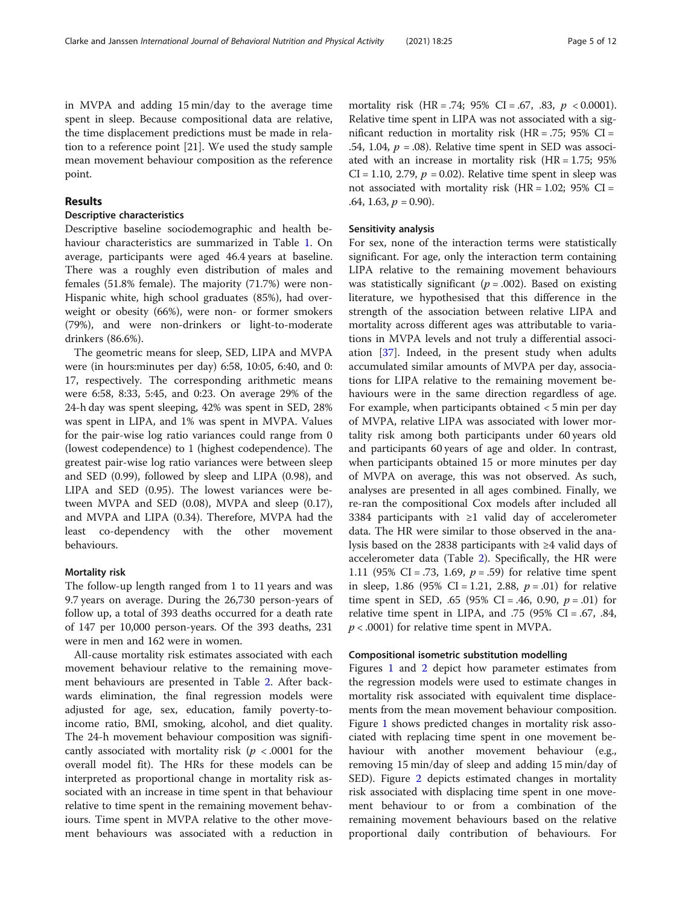in MVPA and adding 15 min/day to the average time spent in sleep. Because compositional data are relative, the time displacement predictions must be made in relation to a reference point [21]. We used the study sample mean movement behaviour composition as the reference point.

# Results

# Descriptive characteristics

Descriptive baseline sociodemographic and health behaviour characteristics are summarized in Table [1.](#page-5-0) On average, participants were aged 46.4 years at baseline. There was a roughly even distribution of males and females (51.8% female). The majority (71.7%) were non-Hispanic white, high school graduates (85%), had overweight or obesity (66%), were non- or former smokers (79%), and were non-drinkers or light-to-moderate drinkers (86.6%).

The geometric means for sleep, SED, LIPA and MVPA were (in hours:minutes per day) 6:58, 10:05, 6:40, and 0: 17, respectively. The corresponding arithmetic means were 6:58, 8:33, 5:45, and 0:23. On average 29% of the 24-h day was spent sleeping, 42% was spent in SED, 28% was spent in LIPA, and 1% was spent in MVPA. Values for the pair-wise log ratio variances could range from 0 (lowest codependence) to 1 (highest codependence). The greatest pair-wise log ratio variances were between sleep and SED (0.99), followed by sleep and LIPA (0.98), and LIPA and SED (0.95). The lowest variances were between MVPA and SED (0.08), MVPA and sleep (0.17), and MVPA and LIPA (0.34). Therefore, MVPA had the least co-dependency with the other movement behaviours.

# Mortality risk

The follow-up length ranged from 1 to 11 years and was 9.7 years on average. During the 26,730 person-years of follow up, a total of 393 deaths occurred for a death rate of 147 per 10,000 person-years. Of the 393 deaths, 231 were in men and 162 were in women.

All-cause mortality risk estimates associated with each movement behaviour relative to the remaining movement behaviours are presented in Table [2](#page-6-0). After backwards elimination, the final regression models were adjusted for age, sex, education, family poverty-toincome ratio, BMI, smoking, alcohol, and diet quality. The 24-h movement behaviour composition was significantly associated with mortality risk ( $p < .0001$  for the overall model fit). The HRs for these models can be interpreted as proportional change in mortality risk associated with an increase in time spent in that behaviour relative to time spent in the remaining movement behaviours. Time spent in MVPA relative to the other movement behaviours was associated with a reduction in

mortality risk  $(HR = .74; 95\% \text{ CI} = .67, .83, p < 0.0001).$ Relative time spent in LIPA was not associated with a significant reduction in mortality risk (HR = .75;  $95\%$  CI = .54, 1.04,  $p = .08$ ). Relative time spent in SED was associated with an increase in mortality risk  $(HR = 1.75; 95\%)$  $CI = 1.10$ , 2.79,  $p = 0.02$ ). Relative time spent in sleep was not associated with mortality risk  $(HR = 1.02; 95\% \text{ CI} =$ .64, 1.63,  $p = 0.90$ ).

# Sensitivity analysis

For sex, none of the interaction terms were statistically significant. For age, only the interaction term containing LIPA relative to the remaining movement behaviours was statistically significant ( $p = .002$ ). Based on existing literature, we hypothesised that this difference in the strength of the association between relative LIPA and mortality across different ages was attributable to variations in MVPA levels and not truly a differential association [\[37](#page-11-0)]. Indeed, in the present study when adults accumulated similar amounts of MVPA per day, associations for LIPA relative to the remaining movement behaviours were in the same direction regardless of age. For example, when participants obtained < 5 min per day of MVPA, relative LIPA was associated with lower mortality risk among both participants under 60 years old and participants 60 years of age and older. In contrast, when participants obtained 15 or more minutes per day of MVPA on average, this was not observed. As such, analyses are presented in all ages combined. Finally, we re-ran the compositional Cox models after included all 3384 participants with ≥1 valid day of accelerometer data. The HR were similar to those observed in the analysis based on the 2838 participants with ≥4 valid days of accelerometer data (Table [2\)](#page-6-0). Specifically, the HR were 1.11 (95% CI = .73, 1.69,  $p = .59$ ) for relative time spent in sleep, 1.86 (95% CI = 1.21, 2.88,  $p = .01$ ) for relative time spent in SED, .65 (95% CI = .46, 0.90,  $p = .01$ ) for relative time spent in LIPA, and  $.75$  (95% CI = .67, .84,  $p < .0001$ ) for relative time spent in MVPA.

# Compositional isometric substitution modelling

Figures [1](#page-7-0) and [2](#page-8-0) depict how parameter estimates from the regression models were used to estimate changes in mortality risk associated with equivalent time displacements from the mean movement behaviour composition. Figure [1](#page-7-0) shows predicted changes in mortality risk associated with replacing time spent in one movement behaviour with another movement behaviour (e.g., removing 15 min/day of sleep and adding 15 min/day of SED). Figure [2](#page-8-0) depicts estimated changes in mortality risk associated with displacing time spent in one movement behaviour to or from a combination of the remaining movement behaviours based on the relative proportional daily contribution of behaviours. For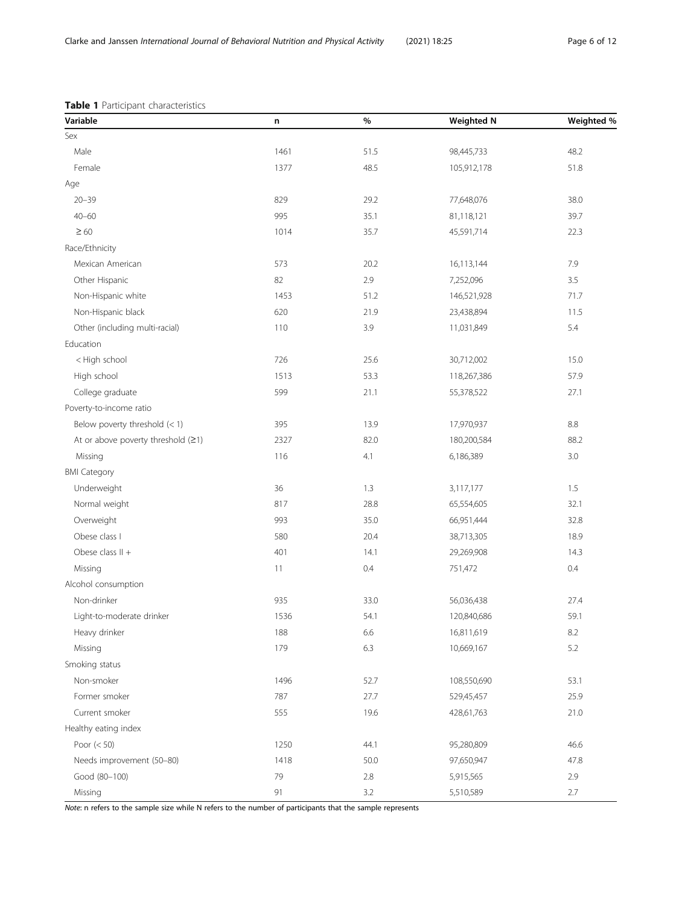# <span id="page-5-0"></span>Table 1 Participant characteristics

| Variable                             | n    | %    | <b>Weighted N</b> | Weighted % |
|--------------------------------------|------|------|-------------------|------------|
| Sex                                  |      |      |                   |            |
| Male                                 | 1461 | 51.5 | 98,445,733        | 48.2       |
| Female                               | 1377 | 48.5 | 105,912,178       | 51.8       |
| Age                                  |      |      |                   |            |
| $20 - 39$                            | 829  | 29.2 | 77,648,076        | 38.0       |
| $40 - 60$                            | 995  | 35.1 | 81,118,121        | 39.7       |
| $\geq 60$                            | 1014 | 35.7 | 45,591,714        | 22.3       |
| Race/Ethnicity                       |      |      |                   |            |
| Mexican American                     | 573  | 20.2 | 16,113,144        | 7.9        |
| Other Hispanic                       | 82   | 2.9  | 7,252,096         | 3.5        |
| Non-Hispanic white                   | 1453 | 51.2 | 146,521,928       | 71.7       |
| Non-Hispanic black                   | 620  | 21.9 | 23,438,894        | 11.5       |
| Other (including multi-racial)       | 110  | 3.9  | 11,031,849        | 5.4        |
| Education                            |      |      |                   |            |
| < High school                        | 726  | 25.6 | 30,712,002        | 15.0       |
| High school                          | 1513 | 53.3 | 118,267,386       | 57.9       |
| College graduate                     | 599  | 21.1 | 55,378,522        | 27.1       |
| Poverty-to-income ratio              |      |      |                   |            |
| Below poverty threshold $(< 1)$      | 395  | 13.9 | 17,970,937        | 8.8        |
| At or above poverty threshold $(≥1)$ | 2327 | 82.0 | 180,200,584       | 88.2       |
| Missing                              | 116  | 4.1  | 6,186,389         | 3.0        |
| <b>BMI Category</b>                  |      |      |                   |            |
| Underweight                          | 36   | 1.3  | 3,117,177         | 1.5        |
| Normal weight                        | 817  | 28.8 | 65,554,605        | 32.1       |
| Overweight                           | 993  | 35.0 | 66,951,444        | 32.8       |
| Obese class I                        | 580  | 20.4 | 38,713,305        | 18.9       |
| Obese class $II +$                   | 401  | 14.1 | 29,269,908        | 14.3       |
| Missing                              | 11   | 0.4  | 751,472           | 0.4        |
| Alcohol consumption                  |      |      |                   |            |
| Non-drinker                          | 935  | 33.0 | 56,036,438        | 27.4       |
| Light-to-moderate drinker            | 1536 | 54.1 | 120,840,686       | 59.1       |
| Heavy drinker                        | 188  | 6.6  | 16,811,619        | 8.2        |
| Missing                              | 179  | 6.3  | 10,669,167        | 5.2        |
| Smoking status                       |      |      |                   |            |
| Non-smoker                           | 1496 | 52.7 | 108,550,690       | 53.1       |
| Former smoker                        | 787  | 27.7 | 529,45,457        | 25.9       |
| Current smoker                       | 555  | 19.6 | 428,61,763        | 21.0       |
| Healthy eating index                 |      |      |                   |            |
| Poor $(< 50)$                        | 1250 | 44.1 | 95,280,809        | 46.6       |
| Needs improvement (50-80)            | 1418 | 50.0 | 97,650,947        | 47.8       |
| Good (80-100)                        | 79   | 2.8  | 5,915,565         | 2.9        |
| Missing                              | 91   | 3.2  | 5,510,589         | 2.7        |

Note: n refers to the sample size while N refers to the number of participants that the sample represents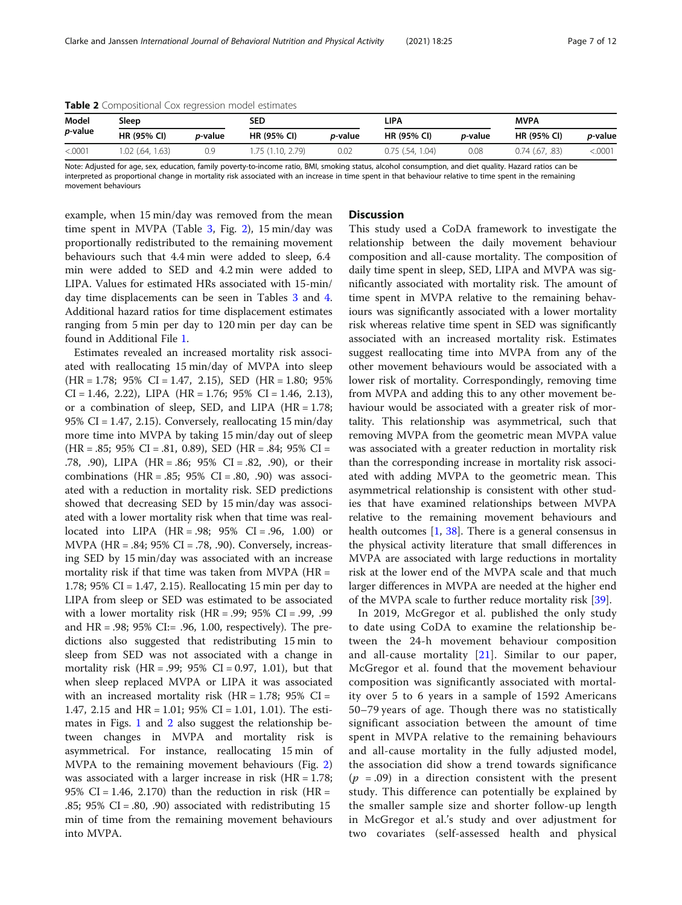| <b>Table 2</b> Compositional COX regression model estimates |                    |                 |                    |                 |                    |                 |                     |                 |  |
|-------------------------------------------------------------|--------------------|-----------------|--------------------|-----------------|--------------------|-----------------|---------------------|-----------------|--|
| Model                                                       | Sleep              |                 |                    | SED             |                    | LIPA            |                     | <b>MVPA</b>     |  |
| <i>p</i> -value                                             | <b>HR (95% CI)</b> | <i>p</i> -value | <b>HR (95% CI)</b> | <i>p</i> -value | <b>HR (95% CI)</b> | <i>p</i> -value | <b>HR (95% CI)</b>  | <i>p</i> -value |  |
| < .0001                                                     | 1.02 (.64, 1.63)   | 0.9             | 1.75 (1.10, 2.79)  | 0.02            | $0.75$ (.54, 1.04) | 0.08            | $0.74$ $(.67, .83)$ | <.0001          |  |

<span id="page-6-0"></span>Table 2 Compositional Cox regression model estimates

Note: Adjusted for age, sex, education, family poverty-to-income ratio, BMI, smoking status, alcohol consumption, and diet quality. Hazard ratios can be interpreted as proportional change in mortality risk associated with an increase in time spent in that behaviour relative to time spent in the remaining movement behaviours

example, when 15 min/day was removed from the mean time spent in MVPA (Table [3,](#page-8-0) Fig. [2](#page-8-0)), 15 min/day was proportionally redistributed to the remaining movement behaviours such that 4.4 min were added to sleep, 6.4 min were added to SED and 4.2 min were added to LIPA. Values for estimated HRs associated with 15-min/ day time displacements can be seen in Tables [3](#page-8-0) and [4](#page-9-0). Additional hazard ratios for time displacement estimates ranging from 5 min per day to 120 min per day can be found in Additional File [1](#page-9-0).

Estimates revealed an increased mortality risk associated with reallocating 15 min/day of MVPA into sleep (HR = 1.78; 95% CI = 1.47, 2.15), SED (HR = 1.80; 95%  $CI = 1.46, 2.22$ ,  $LIPA$   $(HR = 1.76; 95\%$   $CI = 1.46, 2.13$ , or a combination of sleep, SED, and LIPA  $(HR = 1.78;$ 95% CI = 1.47, 2.15). Conversely, reallocating 15 min/day more time into MVPA by taking 15 min/day out of sleep  $(HR = .85; 95\% \text{ CI} = .81, 0.89), \text{ SED } (HR = .84; 95\% \text{ CI} =$ .78, .90), LIPA (HR = .86; 95% CI = .82, .90), or their combinations  $(HR = .85; 95\% \text{ CI} = .80, .90)$  was associated with a reduction in mortality risk. SED predictions showed that decreasing SED by 15 min/day was associated with a lower mortality risk when that time was reallocated into LIPA  $(HR = .98; 95\% \text{ CI} = .96, 1.00)$  or MVPA (HR = .84; 95% CI = .78, .90). Conversely, increasing SED by 15 min/day was associated with an increase mortality risk if that time was taken from MVPA ( $HR =$ 1.78; 95% CI = 1.47, 2.15). Reallocating 15 min per day to LIPA from sleep or SED was estimated to be associated with a lower mortality risk  $(HR = .99; 95\% \text{ CI} = .99, .99$ and  $HR = .98$ ; 95% CI:= .96, 1.00, respectively). The predictions also suggested that redistributing 15 min to sleep from SED was not associated with a change in mortality risk  $(HR = .99; 95\% \text{ CI} = 0.97, 1.01)$ , but that when sleep replaced MVPA or LIPA it was associated with an increased mortality risk  $(HR = 1.78; 95\% \text{ CI} =$ 1.47, 2.15 and HR = 1.01; 95% CI = 1.01, 1.01). The estimates in Figs. [1](#page-7-0) and [2](#page-8-0) also suggest the relationship between changes in MVPA and mortality risk is asymmetrical. For instance, reallocating 15 min of MVPA to the remaining movement behaviours (Fig. [2](#page-8-0)) was associated with a larger increase in risk (HR = 1.78; 95% CI = 1.46, 2.170) than the reduction in risk (HR = .85; 95% CI = .80, .90) associated with redistributing 15 min of time from the remaining movement behaviours into MVPA.

# **Discussion**

This study used a CoDA framework to investigate the relationship between the daily movement behaviour composition and all-cause mortality. The composition of daily time spent in sleep, SED, LIPA and MVPA was significantly associated with mortality risk. The amount of time spent in MVPA relative to the remaining behaviours was significantly associated with a lower mortality risk whereas relative time spent in SED was significantly associated with an increased mortality risk. Estimates suggest reallocating time into MVPA from any of the other movement behaviours would be associated with a lower risk of mortality. Correspondingly, removing time from MVPA and adding this to any other movement behaviour would be associated with a greater risk of mortality. This relationship was asymmetrical, such that removing MVPA from the geometric mean MVPA value was associated with a greater reduction in mortality risk than the corresponding increase in mortality risk associated with adding MVPA to the geometric mean. This asymmetrical relationship is consistent with other studies that have examined relationships between MVPA relative to the remaining movement behaviours and health outcomes [\[1](#page-10-0), [38](#page-11-0)]. There is a general consensus in the physical activity literature that small differences in MVPA are associated with large reductions in mortality risk at the lower end of the MVPA scale and that much larger differences in MVPA are needed at the higher end of the MVPA scale to further reduce mortality risk [\[39](#page-11-0)].

In 2019, McGregor et al. published the only study to date using CoDA to examine the relationship between the 24-h movement behaviour composition and all-cause mortality [\[21](#page-10-0)]. Similar to our paper, McGregor et al. found that the movement behaviour composition was significantly associated with mortality over 5 to 6 years in a sample of 1592 Americans 50–79 years of age. Though there was no statistically significant association between the amount of time spent in MVPA relative to the remaining behaviours and all-cause mortality in the fully adjusted model, the association did show a trend towards significance  $(p = .09)$  in a direction consistent with the present study. This difference can potentially be explained by the smaller sample size and shorter follow-up length in McGregor et al.'s study and over adjustment for two covariates (self-assessed health and physical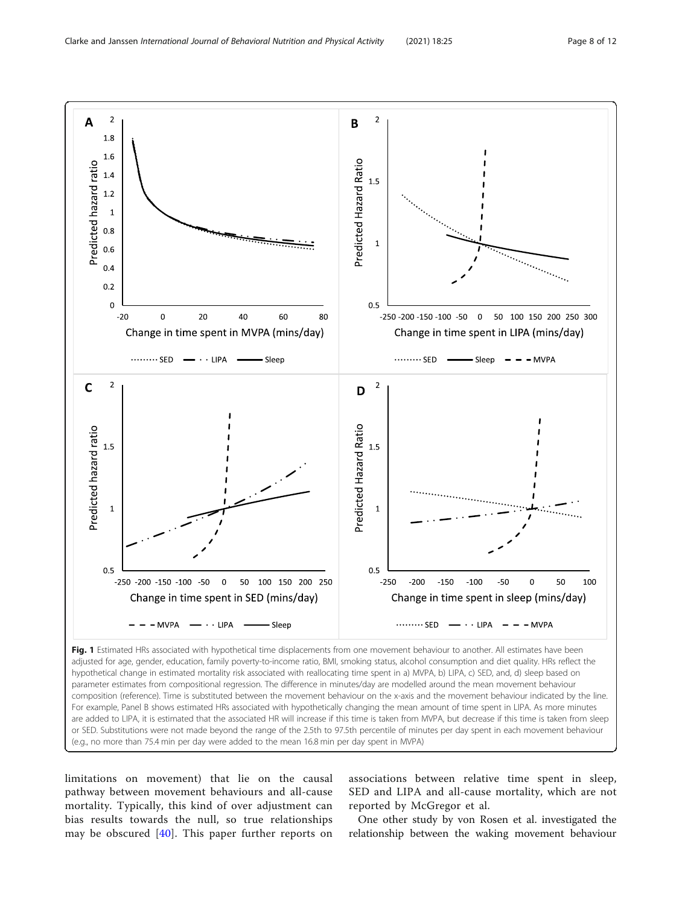<span id="page-7-0"></span>

limitations on movement) that lie on the causal pathway between movement behaviours and all-cause mortality. Typically, this kind of over adjustment can bias results towards the null, so true relationships may be obscured  $[40]$  $[40]$  $[40]$ . This paper further reports on

associations between relative time spent in sleep, SED and LIPA and all-cause mortality, which are not reported by McGregor et al.

One other study by von Rosen et al. investigated the relationship between the waking movement behaviour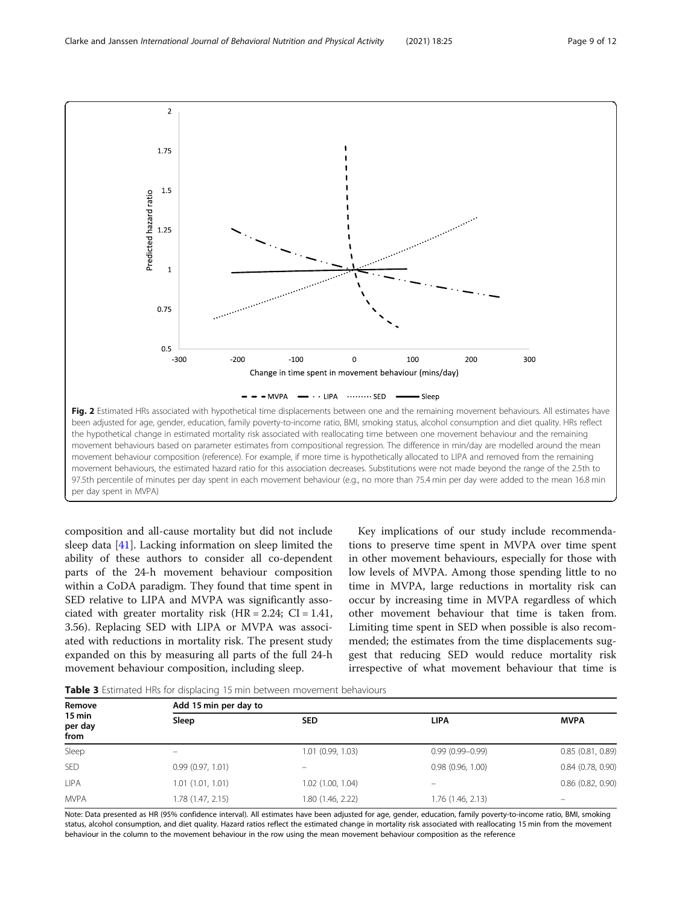<span id="page-8-0"></span>

composition and all-cause mortality but did not include sleep data [[41](#page-11-0)]. Lacking information on sleep limited the ability of these authors to consider all co-dependent parts of the 24-h movement behaviour composition within a CoDA paradigm. They found that time spent in SED relative to LIPA and MVPA was significantly associated with greater mortality risk  $(HR = 2.24; CI = 1.41,$ 3.56). Replacing SED with LIPA or MVPA was associated with reductions in mortality risk. The present study expanded on this by measuring all parts of the full 24-h movement behaviour composition, including sleep.

Key implications of our study include recommendations to preserve time spent in MVPA over time spent in other movement behaviours, especially for those with low levels of MVPA. Among those spending little to no time in MVPA, large reductions in mortality risk can occur by increasing time in MVPA regardless of which other movement behaviour that time is taken from. Limiting time spent in SED when possible is also recommended; the estimates from the time displacements suggest that reducing SED would reduce mortality risk irrespective of what movement behaviour that time is

Table 3 Estimated HRs for displacing 15 min between movement behaviours

| Remove<br>$15 \text{ min}$<br>per day<br>from | Add 15 min per day to |                   |                     |                       |  |  |
|-----------------------------------------------|-----------------------|-------------------|---------------------|-----------------------|--|--|
|                                               | Sleep                 | <b>SED</b>        | <b>LIPA</b>         | <b>MVPA</b>           |  |  |
| Sleep                                         | -                     | 1.01 (0.99, 1.03) | $0.99(0.99 - 0.99)$ | 0.85(0.81, 0.89)      |  |  |
| <b>SED</b>                                    | 0.99(0.97, 1.01)      | -                 | 0.98(0.96, 1.00)    | $0.84$ $(0.78, 0.90)$ |  |  |
| <b>LIPA</b>                                   | 1.01(1.01, 1.01)      | 1.02 (1.00, 1.04) |                     | $0.86$ $(0.82, 0.90)$ |  |  |
| <b>MVPA</b>                                   | 1.78 (1.47, 2.15)     | 1.80 (1.46, 2.22) | 1.76 (1.46, 2.13)   | -                     |  |  |

Note: Data presented as HR (95% confidence interval). All estimates have been adjusted for age, gender, education, family poverty-to-income ratio, BMI, smoking status, alcohol consumption, and diet quality. Hazard ratios reflect the estimated change in mortality risk associated with reallocating 15 min from the movement behaviour in the column to the movement behaviour in the row using the mean movement behaviour composition as the reference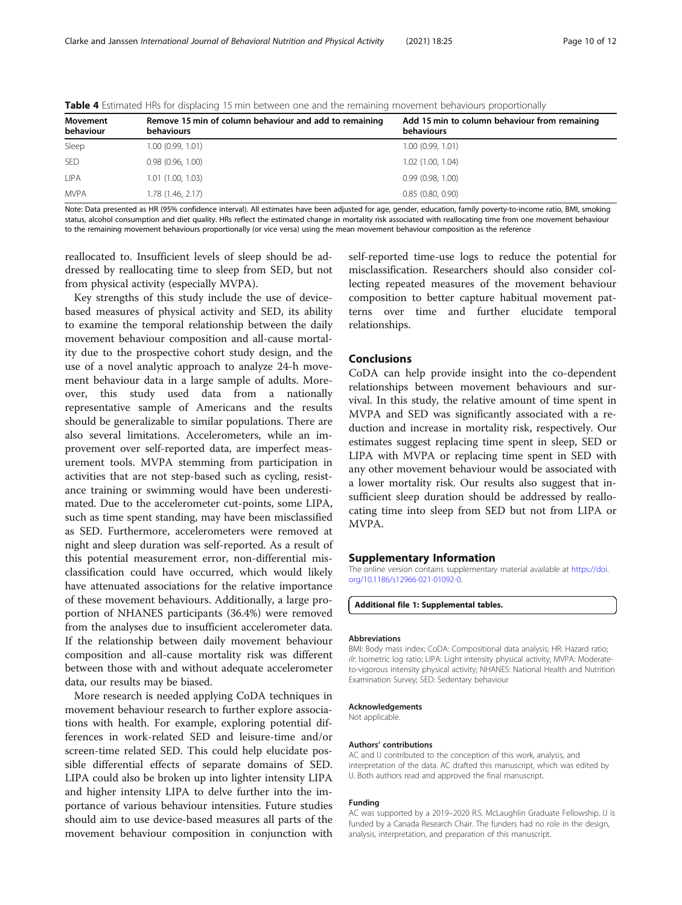| Movement<br>behaviour | Remove 15 min of column behaviour and add to remaining<br>behaviours | Add 15 min to column behaviour from remaining<br>behaviours |
|-----------------------|----------------------------------------------------------------------|-------------------------------------------------------------|
| Sleep                 | 1.00(0.99, 1.01)                                                     | 1.00(0.99, 1.01)                                            |
| <b>SED</b>            | 0.98(0.96, 1.00)                                                     | $1.02$ (1.00, 1.04)                                         |
| <b>LIPA</b>           | 1.01(1.00, 1.03)                                                     | 0.99(0.98, 1.00)                                            |
| <b>MVPA</b>           | 1.78 (1.46, 2.17)                                                    | 0.85(0.80, 0.90)                                            |

<span id="page-9-0"></span>Table 4 Estimated HRs for displacing 15 min between one and the remaining movement behaviours proportionally

Note: Data presented as HR (95% confidence interval). All estimates have been adjusted for age, gender, education, family poverty-to-income ratio, BMI, smoking status, alcohol consumption and diet quality. HRs reflect the estimated change in mortality risk associated with reallocating time from one movement behaviour to the remaining movement behaviours proportionally (or vice versa) using the mean movement behaviour composition as the reference

reallocated to. Insufficient levels of sleep should be addressed by reallocating time to sleep from SED, but not from physical activity (especially MVPA).

Key strengths of this study include the use of devicebased measures of physical activity and SED, its ability to examine the temporal relationship between the daily movement behaviour composition and all-cause mortality due to the prospective cohort study design, and the use of a novel analytic approach to analyze 24-h movement behaviour data in a large sample of adults. Moreover, this study used data from a nationally representative sample of Americans and the results should be generalizable to similar populations. There are also several limitations. Accelerometers, while an improvement over self-reported data, are imperfect measurement tools. MVPA stemming from participation in activities that are not step-based such as cycling, resistance training or swimming would have been underestimated. Due to the accelerometer cut-points, some LIPA, such as time spent standing, may have been misclassified as SED. Furthermore, accelerometers were removed at night and sleep duration was self-reported. As a result of this potential measurement error, non-differential misclassification could have occurred, which would likely have attenuated associations for the relative importance of these movement behaviours. Additionally, a large proportion of NHANES participants (36.4%) were removed from the analyses due to insufficient accelerometer data. If the relationship between daily movement behaviour composition and all-cause mortality risk was different between those with and without adequate accelerometer data, our results may be biased.

More research is needed applying CoDA techniques in movement behaviour research to further explore associations with health. For example, exploring potential differences in work-related SED and leisure-time and/or screen-time related SED. This could help elucidate possible differential effects of separate domains of SED. LIPA could also be broken up into lighter intensity LIPA and higher intensity LIPA to delve further into the importance of various behaviour intensities. Future studies should aim to use device-based measures all parts of the movement behaviour composition in conjunction with

self-reported time-use logs to reduce the potential for misclassification. Researchers should also consider collecting repeated measures of the movement behaviour composition to better capture habitual movement patterns over time and further elucidate temporal relationships.

# Conclusions

CoDA can help provide insight into the co-dependent relationships between movement behaviours and survival. In this study, the relative amount of time spent in MVPA and SED was significantly associated with a reduction and increase in mortality risk, respectively. Our estimates suggest replacing time spent in sleep, SED or LIPA with MVPA or replacing time spent in SED with any other movement behaviour would be associated with a lower mortality risk. Our results also suggest that insufficient sleep duration should be addressed by reallocating time into sleep from SED but not from LIPA or MVPA.

# Supplementary Information

The online version contains supplementary material available at [https://doi.](https://doi.org/10.1186/s12966-021-01092-0) [org/10.1186/s12966-021-01092-0.](https://doi.org/10.1186/s12966-021-01092-0)

# Additional file 1: Supplemental tables.

# Abbreviations

BMI: Body mass index; CoDA: Compositional data analysis; HR: Hazard ratio; ilr: Isometric log ratio; LIPA: Light intensity physical activity; MVPA: Moderateto-vigorous intensity physical activity; NHANES: National Health and Nutrition Examination Survey; SED: Sedentary behaviour

#### Acknowledgements

Not applicable.

# Authors' contributions

AC and IJ contributed to the conception of this work, analysis, and interpretation of the data. AC drafted this manuscript, which was edited by IJ. Both authors read and approved the final manuscript.

# Funding

AC was supported by a 2019–2020 R.S. McLaughlin Graduate Fellowship. IJ is funded by a Canada Research Chair. The funders had no role in the design, analysis, interpretation, and preparation of this manuscript.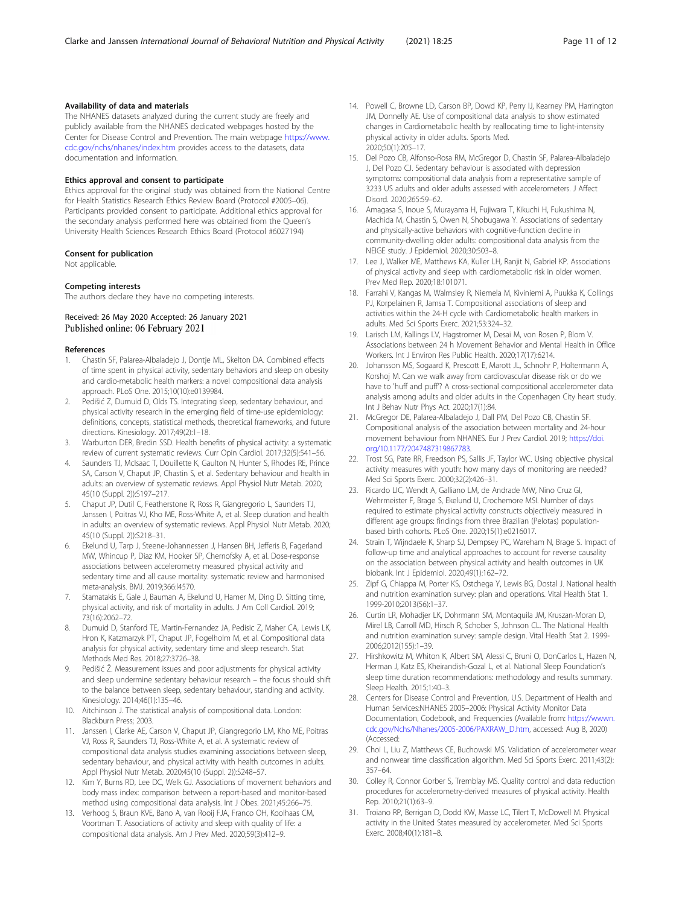# <span id="page-10-0"></span>Availability of data and materials

The NHANES datasets analyzed during the current study are freely and publicly available from the NHANES dedicated webpages hosted by the Center for Disease Control and Prevention. The main webpage [https://www.](https://www.cdc.gov/nchs/nhanes/index.htm) [cdc.gov/nchs/nhanes/index.htm](https://www.cdc.gov/nchs/nhanes/index.htm) provides access to the datasets, data documentation and information.

# Ethics approval and consent to participate

Ethics approval for the original study was obtained from the National Centre for Health Statistics Research Ethics Review Board (Protocol #2005–06). Participants provided consent to participate. Additional ethics approval for the secondary analysis performed here was obtained from the Queen's University Health Sciences Research Ethics Board (Protocol #6027194)

#### Consent for publication

Not applicable.

# Competing interests

The authors declare they have no competing interests.

# Received: 26 May 2020 Accepted: 26 January 2021 Published online: 06 February 2021

# References

- 1. Chastin SF, Palarea-Albaladejo J, Dontje ML, Skelton DA. Combined effects of time spent in physical activity, sedentary behaviors and sleep on obesity and cardio-metabolic health markers: a novel compositional data analysis approach. PLoS One. 2015;10(10):e0139984.
- 2. Pedišić Z, Dumuid D, Olds TS. Integrating sleep, sedentary behaviour, and physical activity research in the emerging field of time-use epidemiology: definitions, concepts, statistical methods, theoretical frameworks, and future directions. Kinesiology. 2017;49(2):1–18.
- 3. Warburton DER, Bredin SSD. Health benefits of physical activity: a systematic review of current systematic reviews. Curr Opin Cardiol. 2017;32(5):541–56.
- Saunders TJ, McIsaac T, Douillette K, Gaulton N, Hunter S, Rhodes RE, Prince SA, Carson V, Chaput JP, Chastin S, et al. Sedentary behaviour and health in adults: an overview of systematic reviews. Appl Physiol Nutr Metab. 2020; 45(10 (Suppl. 2)):S197–217.
- 5. Chaput JP, Dutil C, Featherstone R, Ross R, Giangregorio L, Saunders TJ, Janssen I, Poitras VJ, Kho ME, Ross-White A, et al. Sleep duration and health in adults: an overview of systematic reviews. Appl Physiol Nutr Metab. 2020; 45(10 (Suppl. 2)):S218–31.
- 6. Ekelund U, Tarp J, Steene-Johannessen J, Hansen BH, Jefferis B, Fagerland MW, Whincup P, Diaz KM, Hooker SP, Chernofsky A, et al. Dose-response associations between accelerometry measured physical activity and sedentary time and all cause mortality: systematic review and harmonised meta-analysis. BMJ. 2019;366:l4570.
- 7. Stamatakis E, Gale J, Bauman A, Ekelund U, Hamer M, Ding D. Sitting time, physical activity, and risk of mortality in adults. J Am Coll Cardiol. 2019; 73(16):2062–72.
- 8. Dumuid D, Stanford TE, Martin-Fernandez JA, Pedisic Z, Maher CA, Lewis LK, Hron K, Katzmarzyk PT, Chaput JP, Fogelholm M, et al. Compositional data analysis for physical activity, sedentary time and sleep research. Stat Methods Med Res. 2018;27:3726–38.
- Pedišić Ž. Measurement issues and poor adjustments for physical activity and sleep undermine sedentary behaviour research – the focus should shift to the balance between sleep, sedentary behaviour, standing and activity. Kinesiology. 2014;46(1):135–46.
- 10. Aitchinson J. The statistical analysis of compositional data. London: Blackburn Press; 2003.
- 11. Janssen I, Clarke AE, Carson V, Chaput JP, Giangregorio LM, Kho ME, Poitras VJ, Ross R, Saunders TJ, Ross-White A, et al. A systematic review of compositional data analysis studies examining associations between sleep, sedentary behaviour, and physical activity with health outcomes in adults. Appl Physiol Nutr Metab. 2020;45(10 (Suppl. 2)):S248–57.
- 12. Kim Y, Burns RD, Lee DC, Welk GJ. Associations of movement behaviors and body mass index: comparison between a report-based and monitor-based method using compositional data analysis. Int J Obes. 2021;45:266–75.
- 13. Verhoog S, Braun KVE, Bano A, van Rooij FJA, Franco OH, Koolhaas CM, Voortman T. Associations of activity and sleep with quality of life: a compositional data analysis. Am J Prev Med. 2020;59(3):412–9.
- 14. Powell C, Browne LD, Carson BP, Dowd KP, Perry IJ, Kearney PM, Harrington JM, Donnelly AE. Use of compositional data analysis to show estimated changes in Cardiometabolic health by reallocating time to light-intensity physical activity in older adults. Sports Med. 2020;50(1):205–17.
- 15. Del Pozo CB, Alfonso-Rosa RM, McGregor D, Chastin SF, Palarea-Albaladejo J, Del Pozo CJ. Sedentary behaviour is associated with depression symptoms: compositional data analysis from a representative sample of 3233 US adults and older adults assessed with accelerometers. J Affect Disord. 2020;265:59–62.
- 16. Amagasa S, Inoue S, Murayama H, Fujiwara T, Kikuchi H, Fukushima N, Machida M, Chastin S, Owen N, Shobugawa Y. Associations of sedentary and physically-active behaviors with cognitive-function decline in community-dwelling older adults: compositional data analysis from the NEIGE study. J Epidemiol. 2020;30:503–8.
- 17. Lee J, Walker ME, Matthews KA, Kuller LH, Ranjit N, Gabriel KP. Associations of physical activity and sleep with cardiometabolic risk in older women. Prev Med Rep. 2020;18:101071.
- 18. Farrahi V, Kangas M, Walmsley R, Niemela M, Kiviniemi A, Puukka K, Collings PJ, Korpelainen R, Jamsa T. Compositional associations of sleep and activities within the 24-H cycle with Cardiometabolic health markers in adults. Med Sci Sports Exerc. 2021;53:324–32.
- 19. Larisch LM, Kallings LV, Hagstromer M, Desai M, von Rosen P, Blom V. Associations between 24 h Movement Behavior and Mental Health in Office Workers. Int J Environ Res Public Health. 2020;17(17):6214.
- 20. Johansson MS, Sogaard K, Prescott E, Marott JL, Schnohr P, Holtermann A, Korshoj M. Can we walk away from cardiovascular disease risk or do we have to 'huff and puff'? A cross-sectional compositional accelerometer data analysis among adults and older adults in the Copenhagen City heart study. Int J Behav Nutr Phys Act. 2020;17(1):84.
- 21. McGregor DE, Palarea-Albaladejo J, Dall PM, Del Pozo CB, Chastin SF. Compositional analysis of the association between mortality and 24-hour movement behaviour from NHANES. Eur J Prev Cardiol. 2019; [https://doi.](https://doi.org/10.1177/2047487319867783) [org/10.1177/2047487319867783.](https://doi.org/10.1177/2047487319867783)
- 22. Trost SG, Pate RR, Freedson PS, Sallis JF, Taylor WC. Using objective physical activity measures with youth: how many days of monitoring are needed? Med Sci Sports Exerc. 2000;32(2):426–31.
- 23. Ricardo LIC, Wendt A, Galliano LM, de Andrade MW, Nino Cruz GI, Wehrmeister F, Brage S, Ekelund U, Crochemore MSI. Number of days required to estimate physical activity constructs objectively measured in different age groups: findings from three Brazilian (Pelotas) populationbased birth cohorts. PLoS One. 2020;15(1):e0216017.
- 24. Strain T, Wijndaele K, Sharp SJ, Dempsey PC, Wareham N, Brage S. Impact of follow-up time and analytical approaches to account for reverse causality on the association between physical activity and health outcomes in UK biobank. Int J Epidemiol. 2020;49(1):162–72.
- 25. Zipf G, Chiappa M, Porter KS, Ostchega Y, Lewis BG, Dostal J. National health and nutrition examination survey: plan and operations. Vital Health Stat 1. 1999-2010;2013(56):1–37.
- 26. Curtin LR, Mohadjer LK, Dohrmann SM, Montaquila JM, Kruszan-Moran D, Mirel LB, Carroll MD, Hirsch R, Schober S, Johnson CL. The National Health and nutrition examination survey: sample design. Vital Health Stat 2. 1999- 2006;2012(155):1–39.
- 27. Hirshkowitz M, Whiton K, Albert SM, Alessi C, Bruni O, DonCarlos L, Hazen N, Herman J, Katz ES, Kheirandish-Gozal L, et al. National Sleep Foundation's sleep time duration recommendations: methodology and results summary. Sleep Health. 2015;1:40–3.
- 28. Centers for Disease Control and Prevention, U.S. Department of Health and Human Services:NHANES 2005–2006: Physical Activity Monitor Data Documentation, Codebook, and Frequencies (Available from: [https://wwwn.](https://wwwn.cdc.gov/Nchs/Nhanes/2005-2006/PAXRAW_D.htm) [cdc.gov/Nchs/Nhanes/2005-2006/PAXRAW\\_D.htm](https://wwwn.cdc.gov/Nchs/Nhanes/2005-2006/PAXRAW_D.htm), accessed: Aug 8, 2020) (Accessed:
- 29. Choi L, Liu Z, Matthews CE, Buchowski MS. Validation of accelerometer wear and nonwear time classification algorithm. Med Sci Sports Exerc. 2011;43(2): 357–64.
- 30. Colley R, Connor Gorber S, Tremblay MS. Quality control and data reduction procedures for accelerometry-derived measures of physical activity. Health Rep. 2010;21(1):63–9.
- 31. Troiano RP, Berrigan D, Dodd KW, Masse LC, Tilert T, McDowell M. Physical activity in the United States measured by accelerometer. Med Sci Sports Exerc. 2008;40(1):181–8.